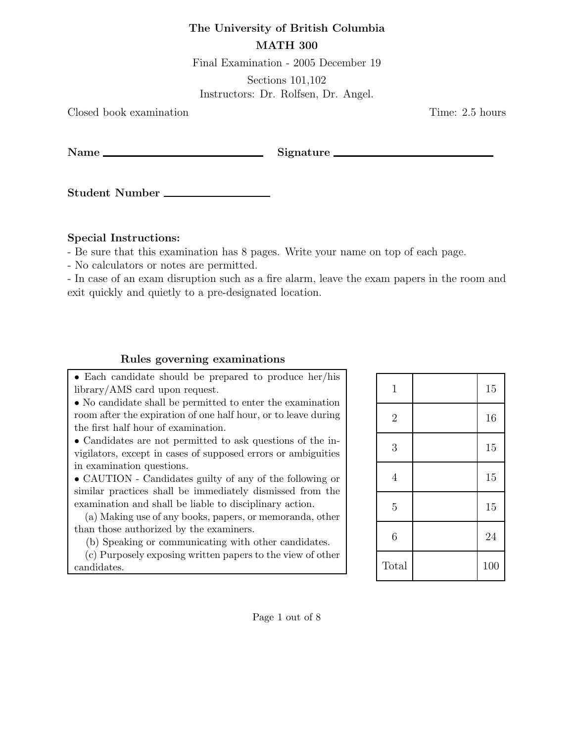## The University of British Columbia

## MATH 300

Final Examination - 2005 December 19

Sections 101,102

Instructors: Dr. Rolfsen, Dr. Angel.

Closed book examination Time: 2.5 hours

Name Signature

Student Number

Special Instructions:

- Be sure that this examination has 8 pages. Write your name on top of each page.

- No calculators or notes are permitted.

- In case of an exam disruption such as a fire alarm, leave the exam papers in the room and exit quickly and quietly to a pre-designated location.

## Rules governing examinations

• Each candidate should be prepared to produce her/his library/AMS card upon request.

• No candidate shall be permitted to enter the examination room after the expiration of one half hour, or to leave during the first half hour of examination.

• Candidates are not permitted to ask questions of the invigilators, except in cases of supposed errors or ambiguities in examination questions.

• CAUTION - Candidates guilty of any of the following or similar practices shall be immediately dismissed from the examination and shall be liable to disciplinary action.

(a) Making use of any books, papers, or memoranda, other than those authorized by the examiners.

(b) Speaking or communicating with other candidates.

(c) Purposely exposing written papers to the view of other candidates.

| $\mathbf{1}$   | 15  |
|----------------|-----|
| $\sqrt{2}$     | 16  |
| 3              | 15  |
| $\overline{4}$ | 15  |
| $\overline{5}$ | 15  |
| 6              | 24  |
| Total          | 100 |

Page 1 out of 8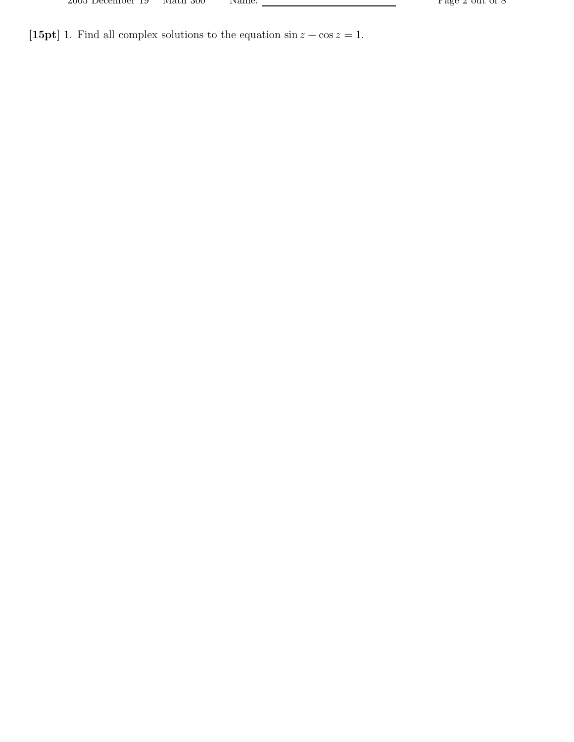| zuud December 19 | мали әм | 1 Y d |
|------------------|---------|-------|
|                  |         |       |

[15pt] 1. Find all complex solutions to the equation  $\sin z + \cos z = 1$ .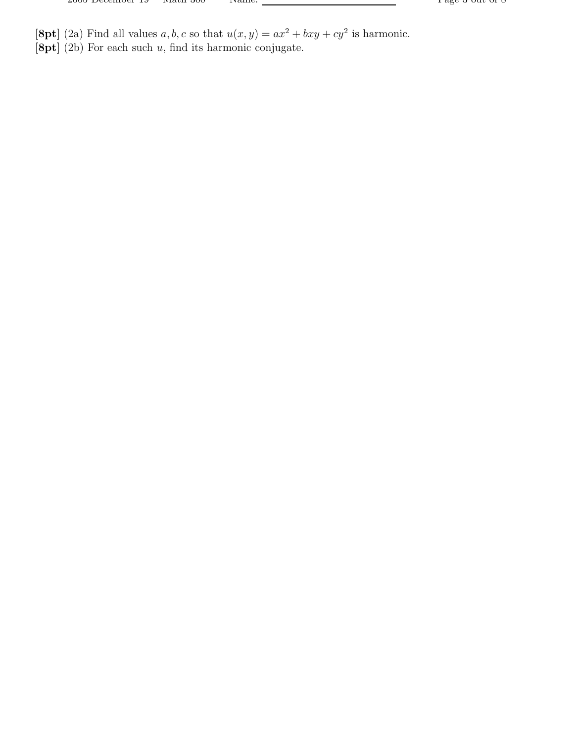- [8pt] (2a) Find all values a, b, c so that  $u(x, y) = ax^2 + bxy + cy^2$  is harmonic.
- $[8pt]$  (2b) For each such u, find its harmonic conjugate.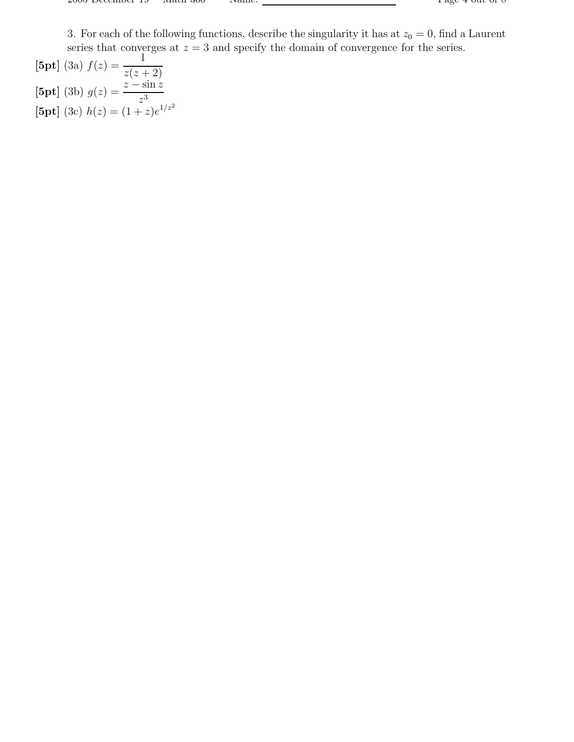3. For each of the following functions, describe the singularity it has at  $z_0 = 0$ , find a Laurent series that converges at  $z = 3$  and specify the domain of convergence for the series.

[5pt] (3a)  $f(z) = \frac{1}{z-1}$  $z(z+2)$  $[5pt]$  (3b)  $g(z) = \frac{z - \sin z}{z}$  $z^3$ [5pt] (3c)  $h(z) = (1 + z)e^{1/z^2}$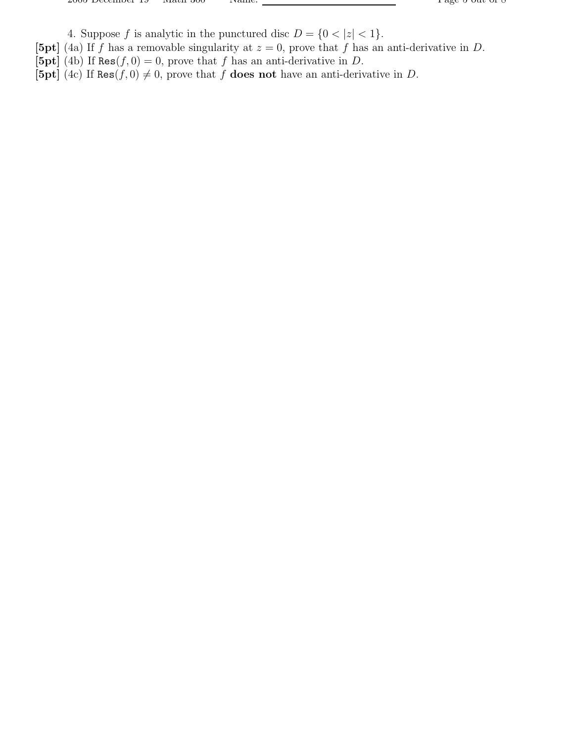4. Suppose f is analytic in the punctured disc  $D = \{0 < |z| < 1\}.$ 

- [5pt] (4a) If f has a removable singularity at  $z = 0$ , prove that f has an anti-derivative in D.
- [5pt] (4b) If Res $(f, 0) = 0$ , prove that f has an anti-derivative in D.
- [5pt] (4c) If Res $(f, 0) \neq 0$ , prove that f does not have an anti-derivative in D.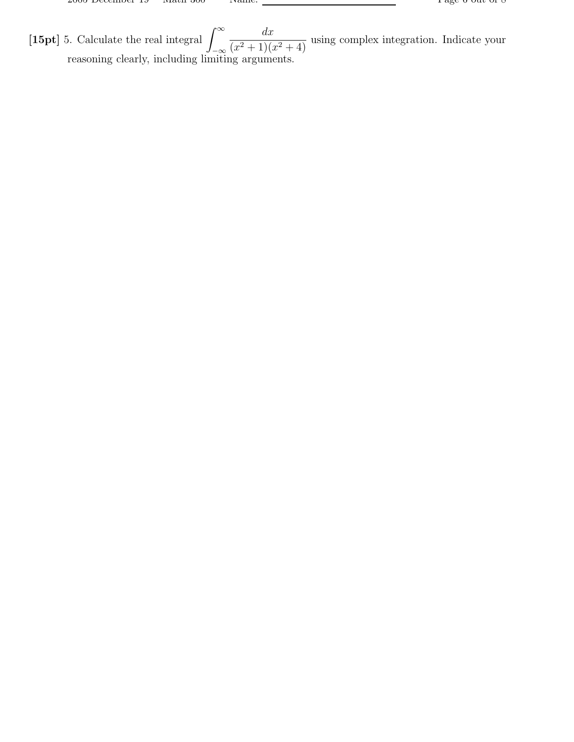[15pt] 5. Calculate the real integral  $\int_{-\infty}^{\infty}$ −∞  $dx$  $\frac{ax}{(x^2+1)(x^2+4)}$  using complex integration. Indicate your reasoning clearly, including limiting arguments.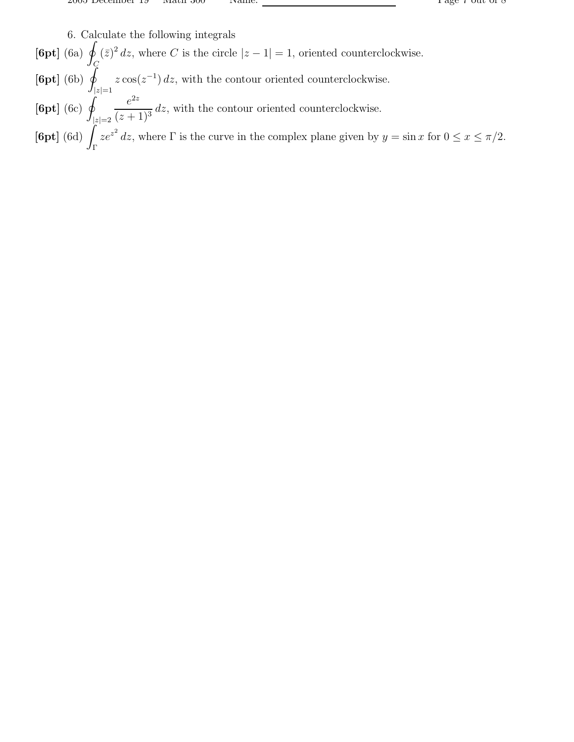6. Calculate the following integrals

 $[6pt]$  (6a)  $\oint$ C  $(\bar{z})^2 dz$ , where C is the circle  $|z - 1| = 1$ , oriented counterclockwise.  $[6pt]$  (6b)  $\oint$  $|z|=1$  $z\cos(z^{-1})$  dz, with the contour oriented counterclockwise.  $[6pt]$  (6c)  $\varphi$  $|z|=2$  $e^{2z}$  $\frac{c}{(z+1)^3}$  dz, with the contour oriented counterclockwise.  $[6pt]$   $(6d)$ Γ  $ze^{z^2}$  dz, where  $\Gamma$  is the curve in the complex plane given by  $y = \sin x$  for  $0 \le x \le \pi/2$ .